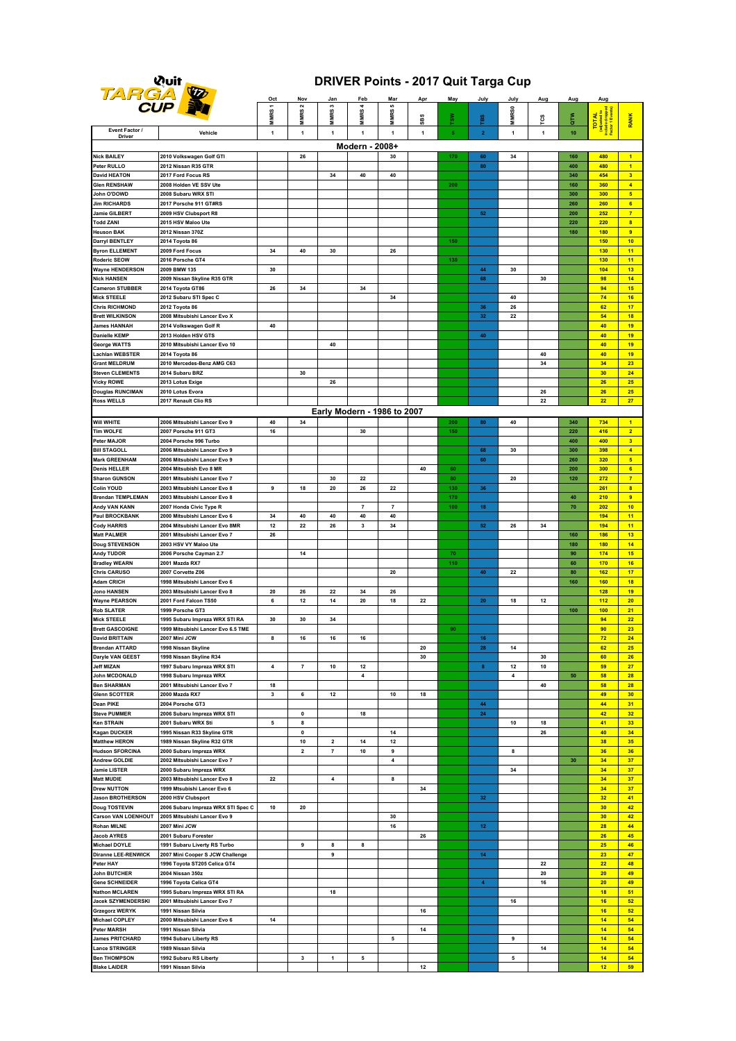### **Quit**<br>TARGA

### **DRIVER Points - 2017 Quit Targa Cup**

| ساد                                                |                                                              | <u>Oct</u>  | Nov                      | Jan               | Feb                         | Mar              | Apr          | May            | July                                                                                                                                                                                                                                                                                                                                                                                                                    | July         | Aug          | Aug        | Aug               |                                  |
|----------------------------------------------------|--------------------------------------------------------------|-------------|--------------------------|-------------------|-----------------------------|------------------|--------------|----------------|-------------------------------------------------------------------------------------------------------------------------------------------------------------------------------------------------------------------------------------------------------------------------------------------------------------------------------------------------------------------------------------------------------------------------|--------------|--------------|------------|-------------------|----------------------------------|
|                                                    | <b>CUP</b>                                                   | MMRS 1      | MMRS <sub>2</sub>        | MMRS <sub>3</sub> | <b>MMRS4</b>                | s<br><b>MMRS</b> |              | š»             |                                                                                                                                                                                                                                                                                                                                                                                                                         | <b>MMRSO</b> |              |            |                   |                                  |
| Event Factor /                                     |                                                              |             |                          |                   |                             |                  | SBS          |                | ã,                                                                                                                                                                                                                                                                                                                                                                                                                      |              | င္မ          | <b>ALC</b> | <b>TOTAL</b>      | RANK                             |
| <b>Driver</b>                                      | Vehicle                                                      | $\mathbf 1$ | $\mathbf{1}$             | $\mathbf{1}$      | $\mathbf{1}$                | $\mathbf{1}$     | $\mathbf{1}$ | 5 <sub>5</sub> | $\mathbf{2}% =\mathbf{2}+\mathbf{2}+\mathbf{3}+\mathbf{5}+\mathbf{5}+\mathbf{5}+\mathbf{6}+\mathbf{6}+\mathbf{5}+\mathbf{5}+\mathbf{6}+\mathbf{6}+\mathbf{5}+\mathbf{6}+\mathbf{6}+\mathbf{5}+\mathbf{5}+\mathbf{6}+\mathbf{6}+\mathbf{6}+\mathbf{5}+\mathbf{6}+\mathbf{6}+\mathbf{6}+\mathbf{6}+\mathbf{6}+\mathbf{6}+\mathbf{6}+\mathbf{6}+\mathbf{6}+\mathbf{6}+\mathbf{6}+\mathbf{6}+\mathbf{6}+\mathbf{6}+\mathbf$ | $\mathbf{1}$ | $\mathbf{1}$ | 10         |                   |                                  |
|                                                    |                                                              |             |                          |                   | Modern - 2008+              |                  |              |                |                                                                                                                                                                                                                                                                                                                                                                                                                         |              |              |            |                   |                                  |
| <b>Nick BAILEY</b>                                 | 2010 Volkswagen Golf GTI                                     |             | 26                       |                   |                             | 30               |              | 170            | 60                                                                                                                                                                                                                                                                                                                                                                                                                      | 34           |              | 160        | 480               | 1<br>$\overline{1}$              |
| Peter RULLO<br><b>David HEATON</b>                 | 2012 Nissan R35 GTR<br>2017 Ford Focus RS                    |             |                          | 34                | 40                          | 40               |              |                | 80                                                                                                                                                                                                                                                                                                                                                                                                                      |              |              | 400<br>340 | 480<br>454        | 3 <sup>2</sup>                   |
| <b>Glen RENSHAW</b>                                | 2008 Holden VE SSV Ute                                       |             |                          |                   |                             |                  |              | 200            |                                                                                                                                                                                                                                                                                                                                                                                                                         |              |              | 160        | 360               | $\overline{4}$                   |
| John O'DOWD                                        | 2008 Subaru WRX STI                                          |             |                          |                   |                             |                  |              |                |                                                                                                                                                                                                                                                                                                                                                                                                                         |              |              | 300        | 300               | 5 <sup>1</sup>                   |
| <b>Jim RICHARDS</b>                                | 2017 Porsche 911 GT#RS                                       |             |                          |                   |                             |                  |              |                |                                                                                                                                                                                                                                                                                                                                                                                                                         |              |              | 260        | 260               | 6 <sup>1</sup>                   |
| Jamie GILBERT                                      | 2009 HSV Clubsport R8                                        |             |                          |                   |                             |                  |              |                | 52                                                                                                                                                                                                                                                                                                                                                                                                                      |              |              | 200        | 252               | $\overline{7}$                   |
| Todd ZANI                                          | 2015 HSV Maloo Ute                                           |             |                          |                   |                             |                  |              |                |                                                                                                                                                                                                                                                                                                                                                                                                                         |              |              | 220        | 220               | $\overline{\mathbf{8}}$          |
| Heuson BAK                                         | 2012 Nissan 370Z                                             |             |                          |                   |                             |                  |              |                |                                                                                                                                                                                                                                                                                                                                                                                                                         |              |              | 180        | <b>180</b>        | 9 <sup>°</sup>                   |
| Darryl BENTLEY<br><b>Byron ELLEMENT</b>            | 2014 Toyota 86<br>2009 Ford Focus                            | 34          | 40                       | 30                |                             | 26               |              | 150            |                                                                                                                                                                                                                                                                                                                                                                                                                         |              |              |            | <b>150</b><br>130 | 10<br>11                         |
| Roderic SEOW                                       | 2016 Porsche GT4                                             |             |                          |                   |                             |                  |              | 130            |                                                                                                                                                                                                                                                                                                                                                                                                                         |              |              |            | 130               | 11                               |
| <b>Wayne HENDERSON</b>                             | 2009 BMW 135                                                 | 30          |                          |                   |                             |                  |              |                | 44                                                                                                                                                                                                                                                                                                                                                                                                                      | 30           |              |            | 104               | 13                               |
| <b>Nick HANSEN</b>                                 | 2009 Nissan Skyline R35 GTR                                  |             |                          |                   |                             |                  |              |                | 68                                                                                                                                                                                                                                                                                                                                                                                                                      |              | 30           |            | 98                | 14                               |
| <b>Cameron STUBBER</b>                             | 2014 Toyota GT86                                             | 26          | 34                       |                   | 34                          |                  |              |                |                                                                                                                                                                                                                                                                                                                                                                                                                         |              |              |            | 94                | 15                               |
| Mick STEELE                                        | 2012 Subaru STI Spec C                                       |             |                          |                   |                             | 34               |              |                |                                                                                                                                                                                                                                                                                                                                                                                                                         | 40           |              |            | 74                | 16                               |
| <b>Chris RICHMOND</b><br><b>Brett WILKINSON</b>    | 2012 Toyota 86<br>2008 Mitsubishi Lancer Evo X               |             |                          |                   |                             |                  |              |                | 36<br>32                                                                                                                                                                                                                                                                                                                                                                                                                | 26<br>22     |              |            | 62<br>54          | 17<br>18                         |
| <b>James HANNAH</b>                                | 2014 Volkswagen Golf R                                       | 40          |                          |                   |                             |                  |              |                |                                                                                                                                                                                                                                                                                                                                                                                                                         |              |              |            | 40                | 19                               |
| <b>Danielle KEMP</b>                               | 2013 Holden HSV GTS                                          |             |                          |                   |                             |                  |              |                | 40                                                                                                                                                                                                                                                                                                                                                                                                                      |              |              |            | 40                | 19                               |
| <b>George WATTS</b>                                | 2010 Mitsubishi Lancer Evo 10                                |             |                          | 40                |                             |                  |              |                |                                                                                                                                                                                                                                                                                                                                                                                                                         |              |              |            | 40                | 19                               |
| Lachlan WEBSTER                                    | 2014 Toyota 86                                               |             |                          |                   |                             |                  |              |                |                                                                                                                                                                                                                                                                                                                                                                                                                         |              | 40           |            | 40                | 19                               |
| Grant MELDRUM                                      | 2010 Mercedes-Benz AMG C63                                   |             |                          |                   |                             |                  |              |                |                                                                                                                                                                                                                                                                                                                                                                                                                         |              | 34           |            | 34                | 23                               |
| <b>Steven CLEMENTS</b>                             | 2014 Subaru BRZ                                              |             | 30                       |                   |                             |                  |              |                |                                                                                                                                                                                                                                                                                                                                                                                                                         |              |              |            | 30                | 24                               |
| <b>Vicky ROWE</b>                                  | 2013 Lotus Exige<br>2010 Lotus Evora                         |             |                          | 26                |                             |                  |              |                |                                                                                                                                                                                                                                                                                                                                                                                                                         |              | 26           |            | 26<br>26          | 25<br>25                         |
| <b>Douglas RUNCIMAN</b><br><b>Ross WELLS</b>       | 2017 Renault Clio RS                                         |             |                          |                   |                             |                  |              |                |                                                                                                                                                                                                                                                                                                                                                                                                                         |              | 22           |            | 22                | 27                               |
|                                                    |                                                              |             |                          |                   | Early Modern - 1986 to 2007 |                  |              |                |                                                                                                                                                                                                                                                                                                                                                                                                                         |              |              |            |                   |                                  |
| Will WHITE                                         | 2006 Mitsubishi Lancer Evo 9                                 | 40          | 34                       |                   |                             |                  |              | 200            | 80                                                                                                                                                                                                                                                                                                                                                                                                                      | 40           |              | 340        | 734               | $\mathbf{1}$                     |
| <b>Tim WOLFE</b>                                   | 2007 Porsche 911 GT3                                         | 16          |                          |                   | 30                          |                  |              | 150            |                                                                                                                                                                                                                                                                                                                                                                                                                         |              |              | 220        | 416               | $\overline{2}$                   |
| <b>Peter MAJOR</b>                                 | 2004 Porsche 996 Turbo                                       |             |                          |                   |                             |                  |              |                |                                                                                                                                                                                                                                                                                                                                                                                                                         |              |              | 400        | 400               | 3 <sup>2</sup>                   |
| <b>Bill STAGOLL</b>                                | 2006 Mitsubishi Lancer Evo 9                                 |             |                          |                   |                             |                  |              |                | 68                                                                                                                                                                                                                                                                                                                                                                                                                      | 30           |              | 300        | 398               | $\overline{4}$                   |
| <b>Mark GREENHAM</b>                               | 2006 Mitsubishi Lancer Evo 9                                 |             |                          |                   |                             |                  |              |                | 60                                                                                                                                                                                                                                                                                                                                                                                                                      |              |              | 260        | 320               | 5 <sup>1</sup>                   |
| <b>Denis HELLER</b>                                | 2004 Mitsubish Evo 8 MR                                      |             |                          |                   |                             |                  | 40           | 60             |                                                                                                                                                                                                                                                                                                                                                                                                                         |              |              | 200        | 300<br>272        | 6 <sup>1</sup><br>$\overline{7}$ |
| <b>Sharon GUNSON</b><br><b>Colin YOUD</b>          | 2001 Mitsubishi Lancer Evo 7<br>2003 Mitsubishi Lancer Evo 8 | 9           | 18                       | 30<br>20          | 22<br>26                    | 22               |              | 80<br>130      | 36                                                                                                                                                                                                                                                                                                                                                                                                                      | 20           |              | 120        | 261               | 8 <sup>2</sup>                   |
| <b>Brendan TEMPLEMAN</b>                           | 2003 Mitsubishi Lancer Evo 8                                 |             |                          |                   |                             |                  |              | 170            |                                                                                                                                                                                                                                                                                                                                                                                                                         |              |              | 40         | 210               | $\overline{9}$                   |
| Andy VAN KANN                                      | 2007 Honda Civic Type R                                      |             |                          |                   | $\overline{7}$              | $\overline{7}$   |              | 100            | 18                                                                                                                                                                                                                                                                                                                                                                                                                      |              |              | 70         | 202               | 10                               |
| Paul BROCKBANK                                     | 2000 Mitsubishi Lancer Evo 6                                 | 34          | 40                       | 40                | 40                          | 40               |              |                |                                                                                                                                                                                                                                                                                                                                                                                                                         |              |              |            | 194               | 11                               |
| <b>Cody HARRIS</b>                                 | 2004 Mitsubishi Lancer Evo 8MR                               | 12          | 22                       | 26                | 3                           | 34               |              |                | ${\bf 52}$                                                                                                                                                                                                                                                                                                                                                                                                              | 26           | 34           |            | 194               | 11                               |
| <b>Matt PALMER</b>                                 | 2001 Mitsubishi Lancer Evo 7                                 | 26          |                          |                   |                             |                  |              |                |                                                                                                                                                                                                                                                                                                                                                                                                                         |              |              | 160<br>180 | 186<br>180        | 13<br>14                         |
| <b>Doug STEVENSON</b><br>Andy TUDOR                | 2003 HSV VY Maloo Ute<br>2006 Porsche Cayman 2.7             |             | 14                       |                   |                             |                  |              | 70             |                                                                                                                                                                                                                                                                                                                                                                                                                         |              |              | 90         | 174               | 15                               |
| <b>Bradley WEARN</b>                               | 2001 Mazda RX7                                               |             |                          |                   |                             |                  |              | 110            |                                                                                                                                                                                                                                                                                                                                                                                                                         |              |              | 60         | 170               | 16                               |
| <b>Chris CARUSO</b>                                | 2007 Corvette Z06                                            |             |                          |                   |                             | 20               |              |                | 40                                                                                                                                                                                                                                                                                                                                                                                                                      | 22           |              | 80         | 162               | 17                               |
| <b>Adam CRICH</b>                                  | 1998 Mitsubishi Lancer Evo 6                                 |             |                          |                   |                             |                  |              |                |                                                                                                                                                                                                                                                                                                                                                                                                                         |              |              | 160        | 160               | 18                               |
| <b>Jono HANSEN</b>                                 | 2003 Mitsubishi Lancer Evo 8                                 | 20          | 26                       | 22                | 34                          | 26               |              |                |                                                                                                                                                                                                                                                                                                                                                                                                                         |              |              |            | 128               | 19                               |
| <b>Wayne PEARSON</b>                               | 2001 Ford Falcon TS50                                        | 6           | 12                       | 14                | 20                          | 18               | 22           |                | 20                                                                                                                                                                                                                                                                                                                                                                                                                      | 18           | 12           |            | 112               | 20                               |
| <b>Rob SLATER</b><br><b>Mick STEELE</b>            | 1999 Porsche GT3<br>1995 Subaru Impreza WRX STI RA           | 30          | 30                       | 34                |                             |                  |              |                |                                                                                                                                                                                                                                                                                                                                                                                                                         |              |              | 100        | 100<br>94         | 21<br>22                         |
| <b>Brett GASCOIGNE</b>                             | 1999 Mitsubishi Lancer Evo 6.5 TME                           |             |                          |                   |                             |                  |              | 90             |                                                                                                                                                                                                                                                                                                                                                                                                                         |              |              |            | 90                | 23                               |
| <b>David BRITTAIN</b>                              | 2007 Mini JCW                                                | 8           | 16                       | 16                | 16                          |                  |              |                | 16                                                                                                                                                                                                                                                                                                                                                                                                                      |              |              |            | 72                | 24                               |
| <b>Brendan ATTARD</b>                              | 1998 Nissan Skyline                                          |             |                          |                   |                             |                  | 20           |                | 28                                                                                                                                                                                                                                                                                                                                                                                                                      | 14           |              |            | 62                | 25                               |
| Daryle VAN GEEST                                   | 1998 Nissan Skyline R34                                      |             |                          |                   |                             |                  | 30           |                |                                                                                                                                                                                                                                                                                                                                                                                                                         |              | 30           |            | 60                | 26                               |
| <b>Jeff MIZAN</b>                                  | 1997 Subaru Impreza WRX STI                                  | 4           | $\overline{\phantom{a}}$ | 10                | 12                          |                  |              |                | 8                                                                                                                                                                                                                                                                                                                                                                                                                       | 12           | 10           |            | 59                | 27                               |
| John MCDONALD<br><b>Ben SHARMAN</b>                | 1998 Subaru Impreza WRX                                      | 18          |                          |                   | 4                           |                  |              |                |                                                                                                                                                                                                                                                                                                                                                                                                                         | 4            | 40           | 50         | 58<br>58          | 28<br>28                         |
| <b>Glenn SCOTTER</b>                               | 2001 Mitsubishi Lancer Evo 7<br>2000 Mazda RX7               | 3           | 6                        | 12                |                             | 10               | 18           |                |                                                                                                                                                                                                                                                                                                                                                                                                                         |              |              |            | 49                | 30                               |
| <b>Dean PIKE</b>                                   | 2004 Porsche GT3                                             |             |                          |                   |                             |                  |              |                | 44                                                                                                                                                                                                                                                                                                                                                                                                                      |              |              |            | 44                | 31                               |
| <b>Steve PUMMER</b>                                | 2006 Subaru Impreza WRX STI                                  |             | 0                        |                   | 18                          |                  |              |                | 24                                                                                                                                                                                                                                                                                                                                                                                                                      |              |              |            | 42                | 32                               |
| <b>Ken STRAIN</b>                                  | 2001 Subaru WRX Sti                                          | 5           | 8                        |                   |                             |                  |              |                |                                                                                                                                                                                                                                                                                                                                                                                                                         | 10           | 18           |            | 41                | 33 <sub>o</sub>                  |
| <b>Kagan DUCKER</b>                                | 1995 Nissan R33 Skyline GTR                                  |             | 0                        |                   |                             | 14               |              |                |                                                                                                                                                                                                                                                                                                                                                                                                                         |              | 26           |            | 40                | 34                               |
| <b>Matthew HERON</b>                               | 1989 Nissan Skyline R32 GTR                                  |             | 10                       | 2                 | 14                          | 12               |              |                |                                                                                                                                                                                                                                                                                                                                                                                                                         |              |              |            | 38                | 35                               |
| <b>Hudson SFORCINA</b><br><b>Andrew GOLDIE</b>     | 2000 Subaru Impreza WRX<br>2002 Mitsubishi Lancer Evo 7      |             | 2                        | 7                 | 10                          | 9<br>4           |              |                |                                                                                                                                                                                                                                                                                                                                                                                                                         | 8            |              | $30\,$     | 36<br>34          | 36<br>37                         |
| Jamie LISTER                                       | 2000 Subaru Impreza WRX                                      |             |                          |                   |                             |                  |              |                |                                                                                                                                                                                                                                                                                                                                                                                                                         | 34           |              |            | 34                | 37                               |
| <b>Matt MUDIE</b>                                  | 2003 Mitsubishi Lancer Evo 8                                 | 22          |                          | 4                 |                             | 8                |              |                |                                                                                                                                                                                                                                                                                                                                                                                                                         |              |              |            | 34                | 37                               |
| <b>Drew NUTTON</b>                                 | 1999 Mtsubishi Lancer Evo 6                                  |             |                          |                   |                             |                  | 34           |                |                                                                                                                                                                                                                                                                                                                                                                                                                         |              |              |            | 34                | 37                               |
| <b>Jason BROTHERSON</b>                            | 2000 HSV Clubsport                                           |             |                          |                   |                             |                  |              |                | $32\,$                                                                                                                                                                                                                                                                                                                                                                                                                  |              |              |            | 32                | 41                               |
| <b>Doug TOSTEVIN</b>                               | 2006 Subaru Impreza WRX STI Spec C                           | 10          | 20                       |                   |                             |                  |              |                |                                                                                                                                                                                                                                                                                                                                                                                                                         |              |              |            | 30                | 42                               |
| <b>Carson VAN LOENHOUT</b>                         | 2005 Mitsubishi Lancer Evo 9                                 |             |                          |                   |                             | 30               |              |                |                                                                                                                                                                                                                                                                                                                                                                                                                         |              |              |            | 30                | 42                               |
| Rohan MILNE<br><b>Jacob AYRES</b>                  | 2007 Mini JCW<br>2001 Subaru Forester                        |             |                          |                   |                             | 16               | 26           |                | 12 <sub>2</sub>                                                                                                                                                                                                                                                                                                                                                                                                         |              |              |            | 28<br>26          | 44<br>45                         |
| Michael DOYLE                                      | 1991 Subaru Liverty RS Turbo                                 |             | 9                        | 8                 | 8                           |                  |              |                |                                                                                                                                                                                                                                                                                                                                                                                                                         |              |              |            | 25                | 46                               |
| <b>Diranne LEE-RENWICK</b>                         | 2007 Mini Cooper S JCW Challenge                             |             |                          | 9                 |                             |                  |              |                | 14                                                                                                                                                                                                                                                                                                                                                                                                                      |              |              |            | 23                | 47                               |
| Peter HAY                                          | 1996 Toyota ST205 Celica GT4                                 |             |                          |                   |                             |                  |              |                |                                                                                                                                                                                                                                                                                                                                                                                                                         |              | 22           |            | 22                | 48                               |
| John BUTCHER                                       | 2004 Nissan 350z                                             |             |                          |                   |                             |                  |              |                |                                                                                                                                                                                                                                                                                                                                                                                                                         |              | 20           |            | 20                | 49                               |
| <b>Gene SCHNEIDER</b>                              | 1996 Toyota Celica GT4                                       |             |                          |                   |                             |                  |              |                | $\blacktriangleleft$                                                                                                                                                                                                                                                                                                                                                                                                    |              | 16           |            | 20                | 49                               |
| <b>Nathon MCLAREN</b>                              | 1995 Subaru Impreza WRX STI RA                               |             |                          | 18                |                             |                  |              |                |                                                                                                                                                                                                                                                                                                                                                                                                                         |              |              |            | 18                | 51                               |
| <b>Jacek SZYMENDERSKI</b><br><b>Grzegorz WERYK</b> | 2001 Mitsubishi Lancer Evo 7<br>1991 Nissan Silvia           |             |                          |                   |                             |                  | 16           |                |                                                                                                                                                                                                                                                                                                                                                                                                                         | 16           |              |            | 16<br>16          | 52<br>52                         |
| <b>Michael COPLEY</b>                              | 2000 Mitsubishi Lancer Evo 6                                 | 14          |                          |                   |                             |                  |              |                |                                                                                                                                                                                                                                                                                                                                                                                                                         |              |              |            | 14                | 54                               |
| <b>Peter MARSH</b>                                 | 1991 Nissan Silvia                                           |             |                          |                   |                             |                  | 14           |                |                                                                                                                                                                                                                                                                                                                                                                                                                         |              |              |            | 14                | 54                               |
| <b>James PRITCHARD</b>                             | 1994 Subaru Liberty RS                                       |             |                          |                   |                             | 5                |              |                |                                                                                                                                                                                                                                                                                                                                                                                                                         | 9            |              |            | 14                | 54                               |
| <b>Lance STRINGER</b>                              | 1989 Nissan Silvia                                           |             |                          |                   |                             |                  |              |                |                                                                                                                                                                                                                                                                                                                                                                                                                         |              | 14           |            | 14                | 54                               |
| <b>Ben THOMPSON</b>                                | 1992 Subaru RS Liberty                                       |             | 3                        | $\mathbf{1}$      | 5                           |                  |              |                |                                                                                                                                                                                                                                                                                                                                                                                                                         | 5            |              |            | 14                | 54                               |
| <b>Blake LAIDER</b>                                | 1991 Nissan Silvia                                           |             |                          |                   |                             |                  | 12           |                |                                                                                                                                                                                                                                                                                                                                                                                                                         |              |              |            | 12                | 59                               |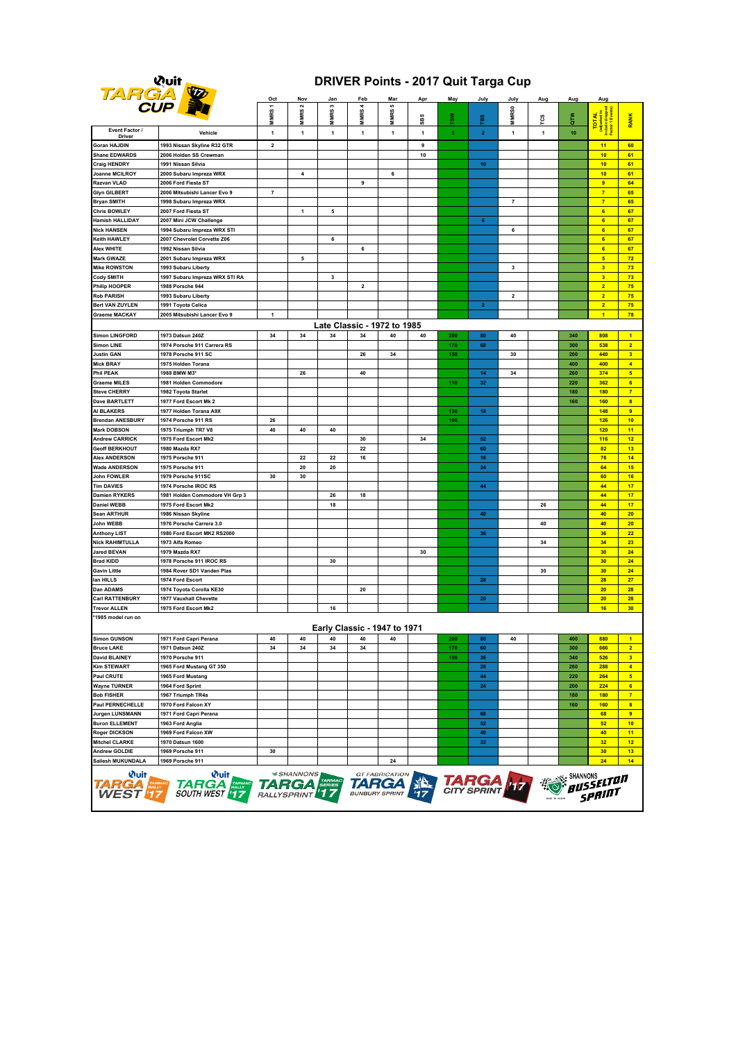# **Quit**<br>TARGA

### **DRIVER Points - 2017 Quit Targa Cup**

| --                                                                                                                                                                                                                                                                                              |                                                    | Oct                                     | N٥۱                                 | Jan              | Feb                                 | Mar       | Apı | May | July            | July                    | Aug | Aug        | Auc                                                         |                                           |
|-------------------------------------------------------------------------------------------------------------------------------------------------------------------------------------------------------------------------------------------------------------------------------------------------|----------------------------------------------------|-----------------------------------------|-------------------------------------|------------------|-------------------------------------|-----------|-----|-----|-----------------|-------------------------|-----|------------|-------------------------------------------------------------|-------------------------------------------|
|                                                                                                                                                                                                                                                                                                 | <b>CUP</b>                                         | $\overline{\phantom{0}}$<br><b>MMRS</b> | $\mathbf{\tilde{z}}$<br><b>MMRS</b> | m<br><b>MMRS</b> | <b>MMRS</b>                         | u)<br>MRS | SBS | š   | p               | MR <sub>SO</sub>        | ၓ   | ₹<br>G™    | TOTAL<br>(adjusted to<br>nelude dropped<br>Factor 1 Events) | <b>RANK</b>                               |
| Event Factor /                                                                                                                                                                                                                                                                                  | Vehicle                                            | 1                                       | $\mathbf{1}$                        | $\mathbf{1}$     | 1                                   | Ξ<br>1    | 1   | 5   | $\overline{2}$  | 1                       | 1   | 10         |                                                             |                                           |
| <b>Driver</b><br>Goran HAJDIN                                                                                                                                                                                                                                                                   | 1993 Nissan Skyline R32 GTR                        | $\overline{\mathbf{2}}$                 |                                     |                  |                                     |           | 9   |     |                 |                         |     |            | 11                                                          | 60                                        |
| Shane EDWARDS                                                                                                                                                                                                                                                                                   | 2006 Holden SS Crewman                             |                                         |                                     |                  |                                     |           | 10  |     |                 |                         |     |            | 10                                                          | 61                                        |
| Craig HENDRY                                                                                                                                                                                                                                                                                    | 1991 Nissan Silvia                                 |                                         |                                     |                  |                                     |           |     |     | 10 <sub>1</sub> |                         |     |            | 10                                                          | 61                                        |
| Joanne MCILROY                                                                                                                                                                                                                                                                                  | 2000 Subaru Impreza WRX                            |                                         | 4                                   |                  |                                     | 6         |     |     |                 |                         |     |            | 10                                                          | 61                                        |
| Razvan VLAD                                                                                                                                                                                                                                                                                     | 2006 Ford Fiesta ST                                |                                         |                                     |                  | 9                                   |           |     |     |                 |                         |     |            | $\overline{9}$                                              | 64                                        |
| <b>Glyn GILBERT</b>                                                                                                                                                                                                                                                                             | 2006 Mitsubishi Lancer Evo 9                       | $\overline{\textbf{7}}$                 |                                     |                  |                                     |           |     |     |                 |                         |     |            | $\overline{7}$<br>$\overline{7}$                            | 65                                        |
| Bryan SMITH<br>Chris BOWLEY                                                                                                                                                                                                                                                                     | 1998 Subaru Impreza WRX<br>2007 Ford Fiesta ST     |                                         | 1                                   | 5                |                                     |           |     |     |                 | 7                       |     |            | $6\phantom{a}$                                              | 65<br>67                                  |
| Hamish HALLIDAY                                                                                                                                                                                                                                                                                 | 2007 Mini JCW Challenge                            |                                         |                                     |                  |                                     |           |     |     | 6               |                         |     |            | $6\phantom{a}$                                              | 67                                        |
| <b>Nick HANSEN</b>                                                                                                                                                                                                                                                                              | 1994 Subaru Impreza WRX STI                        |                                         |                                     |                  |                                     |           |     |     |                 | 6                       |     |            | 6                                                           | 67                                        |
| Keith HAWLEY                                                                                                                                                                                                                                                                                    | 2007 Chevrolet Corvette Z06                        |                                         |                                     | 6                |                                     |           |     |     |                 |                         |     |            | $6\phantom{a}$                                              | 67                                        |
| Alex WHITE                                                                                                                                                                                                                                                                                      | 1992 Nissan Silvia                                 |                                         |                                     |                  | 6                                   |           |     |     |                 |                         |     |            | $6\phantom{a}$                                              | 67                                        |
| Mark GWAZE                                                                                                                                                                                                                                                                                      | 2001 Subaru Impreza WRX                            |                                         | 5                                   |                  |                                     |           |     |     |                 |                         |     |            | 5 <sub>5</sub>                                              | 72                                        |
| <b>Mike ROWSTON</b>                                                                                                                                                                                                                                                                             | 1993 Subaru Liberty                                |                                         |                                     |                  |                                     |           |     |     |                 | 3                       |     |            | $\overline{\mathbf{3}}$                                     | 73                                        |
| Cody SMITH<br>Philip HOOPER                                                                                                                                                                                                                                                                     | 1997 Subaru Impreza WRX STI RA<br>1988 Porsche 944 |                                         |                                     | 3                | $\mathbf{2}$                        |           |     |     |                 |                         |     |            | $\overline{\mathbf{3}}$<br>$\overline{2}$                   | 73<br>75                                  |
| <b>Rob PARISH</b>                                                                                                                                                                                                                                                                               | 1993 Subaru Liberty                                |                                         |                                     |                  |                                     |           |     |     |                 | $\overline{\mathbf{2}}$ |     |            | $\overline{2}$                                              | 75                                        |
| Bert VAN ZUYLEN                                                                                                                                                                                                                                                                                 | 1991 Toyota Celica                                 |                                         |                                     |                  |                                     |           |     |     | $\overline{2}$  |                         |     |            | $\overline{2}$                                              | 75                                        |
| Graeme MACKAY                                                                                                                                                                                                                                                                                   | 2005 Mitsubishi Lancer Evo 9                       | $\overline{1}$                          |                                     |                  |                                     |           |     |     |                 |                         |     |            | $\overline{1}$                                              | 78                                        |
|                                                                                                                                                                                                                                                                                                 |                                                    |                                         |                                     |                  | Late Classic - 1972 to 1985         |           |     |     |                 |                         |     |            |                                                             |                                           |
| <b>Simon LINGFORD</b>                                                                                                                                                                                                                                                                           | 1973 Datsun 240Z                                   | 34                                      | 34                                  | 34               | 34                                  | 40        | 40  | 200 | 80              | 40                      |     | 340        | 808                                                         | $\overline{1}$                            |
| Simon LINE                                                                                                                                                                                                                                                                                      | 1974 Porsche 911 Carrera RS                        |                                         |                                     |                  |                                     |           |     | 170 | 68              |                         |     | 300        | 538                                                         | $\overline{2}$                            |
| <b>Justin GAN</b>                                                                                                                                                                                                                                                                               | 1978 Porsche 911 SC                                |                                         |                                     |                  | 26                                  | 34        |     | 150 |                 | 30                      |     | 200        | 440                                                         | $\overline{\mathbf{3}}$                   |
| <b>Mick BRAY</b>                                                                                                                                                                                                                                                                                | 1975 Holden Torana                                 |                                         |                                     |                  |                                     |           |     |     |                 |                         |     | 400        | 400                                                         | $\overline{4}$                            |
| Phil PEAK                                                                                                                                                                                                                                                                                       | 1988 BMW M3*                                       |                                         | 26                                  |                  | 40                                  |           |     |     | 14              | 34                      |     | 260        | 374                                                         | $5\phantom{1}$                            |
| Graeme MILES                                                                                                                                                                                                                                                                                    | 1981 Holden Commodore                              |                                         |                                     |                  |                                     |           |     | 110 | 32              |                         |     | 220        | 362                                                         | 6                                         |
| <b>Steve CHERRY</b><br>Dave BARTLETT                                                                                                                                                                                                                                                            | 1982 Toyota Starlet<br>1977 Ford Escort Mk 2       |                                         |                                     |                  |                                     |           |     |     |                 |                         |     | 180<br>160 | 180<br>160                                                  | $\overline{7}$<br>$\overline{\mathbf{a}}$ |
| <b>AI BLAKERS</b>                                                                                                                                                                                                                                                                               | 1977 Holden Torana A9X                             |                                         |                                     |                  |                                     |           |     | 130 | 18              |                         |     |            | 148                                                         | 9                                         |
| <b>Brendan ANESBURY</b>                                                                                                                                                                                                                                                                         | 1974 Porsche 911 RS                                | 26                                      |                                     |                  |                                     |           |     | 100 |                 |                         |     |            | 126                                                         | 10                                        |
| <b>Mark DOBSON</b>                                                                                                                                                                                                                                                                              | 1975 Triumph TR7 V8                                | 40                                      | 40                                  | 40               |                                     |           |     |     |                 |                         |     |            | 120                                                         | 11                                        |
| <b>Andrew CARRICK</b>                                                                                                                                                                                                                                                                           | 1975 Ford Escort Mk2                               |                                         |                                     |                  | 30                                  |           | 34  |     | 52              |                         |     |            | 116                                                         | 12                                        |
| <b>Geoff BERKHOUT</b>                                                                                                                                                                                                                                                                           | 1980 Mazda RX7                                     |                                         |                                     |                  | 22                                  |           |     |     | 60              |                         |     |            | 82                                                          | 13                                        |
| <b>Alex ANDERSON</b>                                                                                                                                                                                                                                                                            | 1975 Porsche 911                                   |                                         | 22                                  | 22               | 16                                  |           |     |     | 16              |                         |     |            | 76                                                          | 14                                        |
| Wade ANDERSON                                                                                                                                                                                                                                                                                   | 1975 Porsche 911                                   |                                         | 20                                  | 20               |                                     |           |     |     | 24              |                         |     |            | 64                                                          | 15                                        |
| John FOWLER<br><b>Tim DAVIES</b>                                                                                                                                                                                                                                                                | 1979 Porsche 911SC<br>1974 Porsche IROC RS         | 30                                      | 30                                  |                  |                                     |           |     |     | 44              |                         |     |            | 60<br>44                                                    | 16<br>17                                  |
| Damien RYKERS                                                                                                                                                                                                                                                                                   | 1981 Holden Commodore VH Grp 3                     |                                         |                                     | 26               | 18                                  |           |     |     |                 |                         |     |            | 44                                                          | 17                                        |
| Daniel WEBB                                                                                                                                                                                                                                                                                     | 1975 Ford Escort Mk2                               |                                         |                                     | 18               |                                     |           |     |     |                 |                         | 26  |            | 44                                                          | 17                                        |
| Sean ARTHUR                                                                                                                                                                                                                                                                                     | 1986 Nissan Skyline                                |                                         |                                     |                  |                                     |           |     |     | 40              |                         |     |            | 40                                                          | 20                                        |
| John WEBB                                                                                                                                                                                                                                                                                       | 1976 Porsche Carrera 3.0                           |                                         |                                     |                  |                                     |           |     |     |                 |                         | 40  |            | 40                                                          | 20                                        |
| Anthony LIST                                                                                                                                                                                                                                                                                    | 1980 Ford Escort MK2 RS2000                        |                                         |                                     |                  |                                     |           |     |     | 36              |                         |     |            | 36                                                          | 22                                        |
| Nick RAHIMTULLA                                                                                                                                                                                                                                                                                 | 1973 Alfa Romeo                                    |                                         |                                     |                  |                                     |           |     |     |                 |                         | 34  |            | 34                                                          | 23                                        |
| <b>Jared BEVAN</b>                                                                                                                                                                                                                                                                              | 1979 Mazda RX7                                     |                                         |                                     |                  |                                     |           | 30  |     |                 |                         |     |            | 30                                                          | 24                                        |
| <b>Brad KIDD</b>                                                                                                                                                                                                                                                                                | 1978 Porsche 911 IROC RS                           |                                         |                                     | 30               |                                     |           |     |     |                 |                         |     |            | 30                                                          | 24                                        |
| Gavin Little                                                                                                                                                                                                                                                                                    | 1984 Rover SD1 Vanden Plas<br>1974 Ford Escort     |                                         |                                     |                  |                                     |           |     |     |                 |                         | 30  |            | 30<br>28                                                    | 24<br>27                                  |
| lan HILLS<br>Dan ADAMS                                                                                                                                                                                                                                                                          | 1974 Toyota Corolla KE30                           |                                         |                                     |                  | 20                                  |           |     |     | 28              |                         |     |            | 20                                                          | 28                                        |
| Carl RATTENBURY                                                                                                                                                                                                                                                                                 | 1977 Vauxhall Chevette                             |                                         |                                     |                  |                                     |           |     |     | 20              |                         |     |            | 20                                                          | 28                                        |
| Trevor ALLEN                                                                                                                                                                                                                                                                                    | 1975 Ford Escort Mk2                               |                                         |                                     | 16               |                                     |           |     |     |                 |                         |     |            | 16                                                          | 30                                        |
| 1985 model run on                                                                                                                                                                                                                                                                               |                                                    |                                         |                                     |                  | <b>Early Classic - 1947 to 1971</b> |           |     |     |                 |                         |     |            |                                                             |                                           |
| <b>Simon GUNSON</b>                                                                                                                                                                                                                                                                             | 1971 Ford Capri Perana                             | 40                                      | 40                                  | 40               | 40                                  | 40        |     | 200 | 80              | 40                      |     | 400        | 880                                                         | $\overline{1}$                            |
| <b>Bruce LAKE</b>                                                                                                                                                                                                                                                                               | 1971 Datsun 240Z                                   | 34                                      | 34                                  | 34               | 34                                  |           |     | 170 | 60              |                         |     | 300        | 666                                                         | $\overline{2}$                            |
| <b>David BLAINEY</b>                                                                                                                                                                                                                                                                            | 1970 Porsche 911                                   |                                         |                                     |                  |                                     |           |     | 150 | 36              |                         |     | 340        | 526                                                         | 3                                         |
| <b>Kim STEWART</b>                                                                                                                                                                                                                                                                              | 1965 Ford Mustang GT 350                           |                                         |                                     |                  |                                     |           |     |     | 28              |                         |     | 260        | 288                                                         | $\blacktriangleleft$                      |
| Paul CRUTE                                                                                                                                                                                                                                                                                      | 1965 Ford Mustang                                  |                                         |                                     |                  |                                     |           |     |     | 44              |                         |     | 220        | 264                                                         | $\overline{\mathbf{5}}$                   |
| <b>Wayne TURNER</b>                                                                                                                                                                                                                                                                             | 1964 Ford Sprint                                   |                                         |                                     |                  |                                     |           |     |     | 24              |                         |     | 200        | 224                                                         | $6\phantom{a}$                            |
| <b>Bob FISHER</b><br>Paul PERNECHELLE                                                                                                                                                                                                                                                           | 1967 Triumph TR4a<br>1970 Ford Falcon XY           |                                         |                                     |                  |                                     |           |     |     |                 |                         |     | 180<br>160 | <b>180</b><br>160                                           | $\overline{7}$<br>$\overline{\mathbf{8}}$ |
| <b>Jurgen LUNSMANN</b>                                                                                                                                                                                                                                                                          | 1971 Ford Capri Perana                             |                                         |                                     |                  |                                     |           |     |     | 68              |                         |     |            | 68                                                          | $\overline{9}$                            |
| <b>Buron ELLEMENT</b>                                                                                                                                                                                                                                                                           | 1963 Ford Anglia                                   |                                         |                                     |                  |                                     |           |     |     | 52              |                         |     |            | 52                                                          | 10                                        |
| Roger DICKSON                                                                                                                                                                                                                                                                                   | 1969 Ford Falcon XW                                |                                         |                                     |                  |                                     |           |     |     | 40              |                         |     |            | 40                                                          | 11                                        |
| Mitchel CLARKE                                                                                                                                                                                                                                                                                  | 1970 Datsun 1600                                   |                                         |                                     |                  |                                     |           |     |     | 32              |                         |     |            | 32                                                          | 12                                        |
| <b>Andrew GOLDIE</b>                                                                                                                                                                                                                                                                            | 1969 Porsche 911                                   | 30                                      |                                     |                  |                                     |           |     |     |                 |                         |     |            | 30                                                          | 13                                        |
| Sailesh MUKUNDALA                                                                                                                                                                                                                                                                               | 1969 Porsche 911                                   |                                         |                                     |                  |                                     | 24        |     |     |                 |                         |     |            | 24                                                          | 14                                        |
| <b>*SHANNONS</b><br><b>Wuit</b><br><b><i>Quit</i></b><br>GT FABRICATION<br>BUSSELTON<br><b>TARGA</b><br><b>TARGA</b> FARMAC<br><b>TARGA</b><br>TARGA<br><b>TARGA</b><br>TARMAC<br>RALLY<br>RALLYSPRINT <sup>1</sup> 1<br><b>SOUTH WEST</b><br>'17<br>17<br><b>WEST</b><br><b>BUNBURY SPRINT</b> |                                                    |                                         |                                     |                  |                                     |           |     |     |                 |                         |     |            |                                                             |                                           |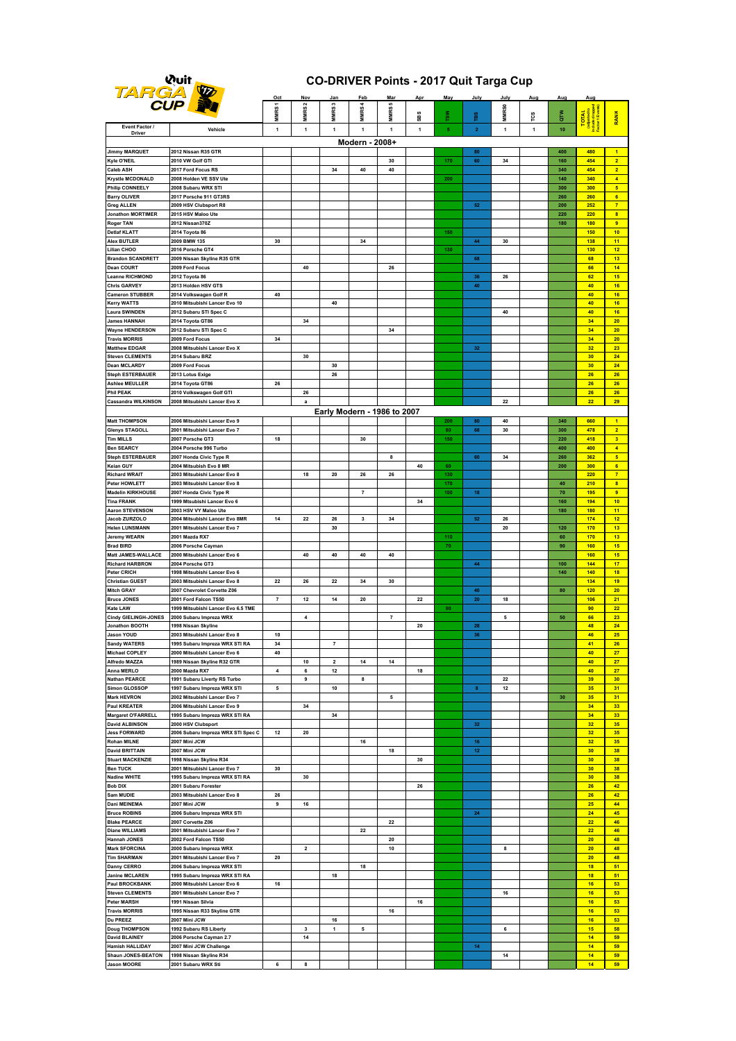| <b>Wuit</b> |    |
|-------------|----|
|             | 77 |
| ÷<br>- 7    |    |

#### **CO-DRIVER Points - 2017 Quit Targa Cup**

| w                                             | <b>CUP</b>                                                     | Oct                 | Nov               | Jan                     | Fet                         | Mar<br>$\mathfrak{a}$ | Apr | May       | July                                 | July              | Aug          | Aug        | Aug                |                                                 |
|-----------------------------------------------|----------------------------------------------------------------|---------------------|-------------------|-------------------------|-----------------------------|-----------------------|-----|-----------|--------------------------------------|-------------------|--------------|------------|--------------------|-------------------------------------------------|
|                                               |                                                                | MMRS <sub>1</sub>   | MMRS <sub>2</sub> | MMRS <sub>3</sub>       | MMRS 4                      | <b>MMRS</b>           | SBS | rs»       | p                                    | MMR <sub>S0</sub> | τcs          | <b>R</b>   | TOTAL <sup>1</sup> |                                                 |
| Event Factor /                                | Vehicle                                                        | $\mathbf{1}$        | $\mathbf{1}$      | 1                       | $\mathbf{1}$                | $\mathbf{1}$          | 1   | ${\bf 5}$ | $\mathbf{2}$                         | $\mathbf{1}$      | $\mathbf{1}$ | 10         |                    | <b>RANK</b>                                     |
| Driver                                        |                                                                |                     |                   |                         | Modern - 2008+              |                       |     |           |                                      |                   |              |            |                    |                                                 |
| <b>Jimmy MARQUET</b>                          | 2012 Nissan R35 GTR                                            |                     |                   |                         |                             |                       |     |           | 80                                   |                   |              | 400        | 480                | $\blacksquare$                                  |
| Kyle O'NEIL                                   | 2010 VW Golf GTI                                               |                     |                   |                         |                             | 30                    |     | 170       | 60                                   | 34                |              | 160        | 454                | $\overline{2}$                                  |
| Caleb ASH                                     | 2017 Ford Focus RS                                             |                     |                   | 34                      | 40                          | 40                    |     |           |                                      |                   |              | 340        | 454                | $\overline{2}$                                  |
| <b>Krystle MCDONALD</b><br>Philip CONNEELY    | 2008 Holden VE SSV Ute<br>2008 Subaru WRX STI                  |                     |                   |                         |                             |                       |     | 200       |                                      |                   |              | 140<br>300 | 340<br>300         | $\blacktriangleleft$<br>$\overline{\mathbf{5}}$ |
| Barry OLIVER                                  | 2017 Porsche 911 GT3RS                                         |                     |                   |                         |                             |                       |     |           |                                      |                   |              | 260        | 260                | 6                                               |
| <b>Greg ALLEN</b>                             | 2009 HSV Clubsport R8                                          |                     |                   |                         |                             |                       |     |           | ${\bf 52}$                           |                   |              | 200        | 252                | $\overline{7}$                                  |
| <b>Jonathon MORTIMER</b>                      | 2015 HSV Maloo Ute                                             |                     |                   |                         |                             |                       |     |           |                                      |                   |              | 220        | 220                | $\mathbf{8}$                                    |
| <b>Roger TAN</b><br><b>Detlaf KLATT</b>       | 2012 Nissan370Z<br>2014 Toyota 86                              |                     |                   |                         |                             |                       |     | 150       |                                      |                   |              | 180        | <b>180</b><br>150  | $\overline{9}$<br>10 <sub>1</sub>               |
| Alex BUTLER                                   | 2009 BMW 135                                                   | 30                  |                   |                         | 34                          |                       |     |           | 44                                   | 30                |              |            | 138                | 11                                              |
| Lilian CHOO                                   | 2016 Porsche GT4                                               |                     |                   |                         |                             |                       |     | 130       |                                      |                   |              |            | 130                | 12                                              |
| <b>Brandon SCANDRETT</b>                      | 2009 Nissan Skyline R35 GTR                                    |                     |                   |                         |                             |                       |     |           | 68                                   |                   |              |            | 68                 | 13                                              |
| <b>Dean COURT</b><br>Leanne RICHMOND          | 2009 Ford Focus<br>2012 Toyota 86                              |                     | 40                |                         |                             | 26                    |     |           | 36                                   | 26                |              |            | 66<br>62           | 14<br>15                                        |
| <b>Chris GARVEY</b>                           | 2013 Holden HSV GTS                                            |                     |                   |                         |                             |                       |     |           | 40                                   |                   |              |            | 40                 | 16                                              |
| Cameron STUBBER                               | 2014 Volkswagen Golf R                                         | 40                  |                   |                         |                             |                       |     |           |                                      |                   |              |            | 40                 | 16                                              |
| Kerry WATTS                                   | 2010 Mitsubishi Lancer Evo 10                                  |                     |                   | 40                      |                             |                       |     |           |                                      |                   |              |            | 40                 | 16                                              |
| Laura SWINDEN<br>James HANNAH                 | 2012 Subaru STI Spec C<br>2014 Toyota GT86                     |                     | 34                |                         |                             |                       |     |           |                                      | 40                |              |            | 40<br>34           | 16<br>20                                        |
| <b>Wayne HENDERSON</b>                        | 2012 Subaru STI Spec C                                         |                     |                   |                         |                             | 34                    |     |           |                                      |                   |              |            | 34                 | 20                                              |
| <b>Travis MORRIS</b>                          | 2009 Ford Focus                                                | 34                  |                   |                         |                             |                       |     |           |                                      |                   |              |            | 34                 | 20                                              |
| Matthew EDGAR                                 | 2008 Mitsubishi Lancer Evo X                                   |                     |                   |                         |                             |                       |     |           | 32                                   |                   |              |            | 32                 | 23                                              |
| <b>Steven CLEMENTS</b><br><b>Dean MCLARDY</b> | 2014 Subaru BRZ<br>2009 Ford Focus                             |                     | 30                | 30                      |                             |                       |     |           |                                      |                   |              |            | 30<br>30           | 24<br>24                                        |
| Steph ESTERBAUER                              | 2013 Lotus Exige                                               |                     |                   | 26                      |                             |                       |     |           |                                      |                   |              |            | 26                 | 26                                              |
| Ashlee MEULLER                                | 2014 Toyota GT86                                               | 26                  |                   |                         |                             |                       |     |           |                                      |                   |              |            | 26                 | 26                                              |
| Phil PEAK                                     | 2010 Volkswagen Golf GTI                                       |                     | 26                |                         |                             |                       |     |           |                                      |                   |              |            | 26                 | 26                                              |
| <b>Cassandra WILKINSON</b>                    | 2008 Mitsubishi Lancer Evo X                                   |                     | a                 |                         |                             |                       |     |           |                                      | 22                |              |            | 22                 | 29                                              |
|                                               |                                                                |                     |                   |                         | Early Modern - 1986 to 2007 |                       |     |           |                                      |                   |              |            |                    |                                                 |
| <b>Matt THOMPSON</b><br><b>Glenys STAGOLL</b> | 2006 Mitsubishi Lancer Evo 9<br>2001 Mitsubishi Lancer Evo 7   |                     |                   |                         |                             |                       |     | 200<br>80 | 80<br>68                             | 40<br>30          |              | 340<br>300 | 660<br>478         | $\blacktriangleleft$<br>$\overline{2}$          |
| <b>Tim MILLS</b>                              | 2007 Porsche GT3                                               | 18                  |                   |                         | 30                          |                       |     | 150       |                                      |                   |              | 220        | 418                | 3 <sup>2</sup>                                  |
| <b>Ben SEARCY</b>                             | 2004 Porsche 996 Turbo                                         |                     |                   |                         |                             |                       |     |           |                                      |                   |              | 400        | 400                | $\overline{4}$                                  |
| <b>Steph ESTERBAUER</b>                       | 2007 Honda Civic Type R                                        |                     |                   |                         |                             | 8                     |     |           | 60                                   | 34                |              | 260        | 362                | $\sqrt{5}$                                      |
| Keian GUY<br><b>Richard WRAIT</b>             | 2004 Mitsubish Evo 8 MR<br>2003 Mitsubishi Lancer Evo 8        |                     | 18                | 20                      | 26                          | 26                    | 40  | 60<br>130 |                                      |                   |              | 200        | 300<br>220         | 6 <sup>1</sup><br>$\overline{7}$                |
| <b>Peter HOWLETT</b>                          | 2003 Mitsubishi Lancer Evo 8                                   |                     |                   |                         |                             |                       |     | 170       |                                      |                   |              | 40         | 210                | $\mathbf{8}$                                    |
| Madelin KIRKHOUSE                             | 2007 Honda Civic Type R                                        |                     |                   |                         | $\overline{7}$              |                       |     | 100       | 18                                   |                   |              | 70         | 195                | 9                                               |
| <b>Tina FRANK</b>                             | 1999 Mtsubishi Lancer Evo 6                                    |                     |                   |                         |                             |                       | 34  |           |                                      |                   |              | 160        | 194                | 10                                              |
| <b>Aaron STEVENSON</b><br>Jacob ZURZOLO       | 2003 HSV VY Maloo Ute<br>2004 Mitsubishi Lancer Evo 8MR        | 14                  | 22                | 26                      | 3                           | 34                    |     |           | 52                                   | 26                |              | 180        | <b>180</b><br>174  | 11<br>12                                        |
| <b>Helen LUNSMANN</b>                         | 2001 Mitsubishi Lancer Evo 7                                   |                     |                   | 30                      |                             |                       |     |           |                                      | 20                |              | 120        | 170                | 13                                              |
| <b>Jeremy WEARN</b>                           | 2001 Mazda RX7                                                 |                     |                   |                         |                             |                       |     | 110       |                                      |                   |              | 60         | 170                | 13                                              |
| <b>Brad BIRD</b>                              | 2006 Porsche Cayman                                            |                     |                   |                         |                             |                       |     | 70        |                                      |                   |              | 90         | <b>160</b>         | 15                                              |
| Matt JAMES-WALLACE<br><b>Richard HARBRON</b>  | 2000 Mitsubishi Lancer Evo 6<br>2004 Porsche GT3               |                     | 40                | 40                      | 40                          | 40                    |     |           | 44                                   |                   |              | 100        | <b>160</b><br>144  | 15<br>17                                        |
| <b>Peter CRICH</b>                            | 1998 Mitsubishi Lancer Evo 6                                   |                     |                   |                         |                             |                       |     |           |                                      |                   |              | 140        | 140                | 18                                              |
| <b>Christian GUEST</b>                        | 2003 Mitsubishi Lancer Evo 8                                   | 22                  | 26                | 22                      | 34                          | 30                    |     |           |                                      |                   |              |            | 134                | 19                                              |
| <b>Mitch GRAY</b>                             | 2007 Chevrolet Corvette Z06<br>2001 Ford Falcon TS50           |                     |                   |                         |                             |                       |     |           | 40                                   |                   |              | 80         | 120                | 20                                              |
| <b>Bruce JONES</b><br>Kate LAW                | 1999 Mitsubishi Lancer Evo 6.5 TME                             | $\scriptstyle\rm 7$ | $12$              | 14                      | 20                          |                       | 22  | 90        | ${\bf 20}$                           | 18                |              |            | 106<br>90          | 21<br>22                                        |
| <b>Cindy GIELINGH-JONES</b>                   | 2000 Subaru Impreza WRX                                        |                     | 4                 |                         |                             | $\overline{7}$        |     |           |                                      | 5                 |              | 50         | 66                 | 23                                              |
| <b>Jonathon BOOTH</b>                         | 1998 Nissan Skyline                                            |                     |                   |                         |                             |                       | 20  |           | 28                                   |                   |              |            | 48                 | 24                                              |
| Jason YOUD                                    | 2003 Mitsubishi Lancer Evo 8                                   | 10                  |                   |                         |                             |                       |     |           | 36                                   |                   |              |            | 46                 | 25                                              |
| <b>Sandy WATERS</b><br>Michael COPLEY         | 1995 Subaru Impreza WRX STI RA<br>2000 Mitsubishi Lancer Evo 6 | 34<br>40            |                   |                         |                             |                       |     |           |                                      |                   |              |            | 41<br>40           | 26<br>27                                        |
| <b>Alfredo MAZZA</b>                          | 1989 Nissan Skyline R32 GTR                                    |                     | 10                | $\overline{\mathbf{2}}$ | 14                          | 14                    |     |           |                                      |                   |              |            | 40                 | 27                                              |
| Anna MERLO                                    | 2000 Mazda RX7                                                 | 4                   | 6                 | $12\,$                  |                             |                       | 18  |           |                                      |                   |              |            | 40                 | 27                                              |
| <b>Nathan PEARCE</b>                          | 1991 Subaru Liverty RS Turbo                                   |                     | 9                 |                         | 8                           |                       |     |           |                                      | 22                |              |            | 39                 | 30                                              |
| <b>Simon GLOSSOP</b><br><b>Mark HEVRON</b>    | 1997 Subaru Impreza WRX STI<br>2002 Mitsubishi Lancer Evo 7    | 5                   |                   | 10                      |                             | 5                     |     |           | 8                                    | 12                |              | 30         | 35<br>35           | 31<br>31                                        |
| <b>Paul KREATER</b>                           | 2006 Mitsubishi Lancer Evo 9                                   |                     | 34                |                         |                             |                       |     |           |                                      |                   |              |            | 34                 | 33                                              |
| Margaret O'FARRELL                            | 1995 Subaru Impreza WRX STI RA                                 |                     |                   | 34                      |                             |                       |     |           |                                      |                   |              |            | 34                 | 33                                              |
| <b>David ALBINSON</b>                         | 2000 HSV Clubsport                                             |                     |                   |                         |                             |                       |     |           | $\bf{32}$                            |                   |              |            | 32                 | 35                                              |
| <b>Jess FORWARD</b><br><b>Rohan MILNE</b>     | 2006 Subaru Impreza WRX STI Spec C                             | $12$                | 20                |                         |                             |                       |     |           |                                      |                   |              |            | 32                 | 35                                              |
| <b>David BRITTAIN</b>                         | 2007 Mini JCW<br>2007 Mini JCW                                 |                     |                   |                         | 16                          | 18                    |     |           | $16\phantom{.}$<br>$12 \overline{ }$ |                   |              |            | 32<br>30           | 35<br>38                                        |
| <b>Stuart MACKENZIE</b>                       | 1998 Nissan Skyline R34                                        |                     |                   |                         |                             |                       | 30  |           |                                      |                   |              |            | 30                 | 38                                              |
| <b>Ben TUCK</b>                               | 2001 Mitsubishi Lancer Evo 7                                   | 30                  |                   |                         |                             |                       |     |           |                                      |                   |              |            | 30                 | 38                                              |
| <b>Nadine WHITE</b>                           | 1995 Subaru Impreza WRX STI RA                                 |                     | 30                |                         |                             |                       |     |           |                                      |                   |              |            | 30 <sub>2</sub>    | 38                                              |
| <b>Bob DIX</b><br>Sam MUDIE                   | 2001 Subaru Forester<br>2003 Mitsubishi Lancer Evo 8           | 26                  |                   |                         |                             |                       | 26  |           |                                      |                   |              |            | 26<br>26           | 42<br>42                                        |
| Dani MEINEMA                                  | 2007 Mini JCW                                                  | 9                   | 16                |                         |                             |                       |     |           |                                      |                   |              |            | 25                 | 44                                              |
| <b>Bruce ROBINS</b>                           | 2006 Subaru Impreza WRX STI                                    |                     |                   |                         |                             |                       |     |           | 24                                   |                   |              |            | 24                 | 45                                              |
| <b>Blake PEARCE</b>                           | 2007 Corvette Z06                                              |                     |                   |                         |                             | 22                    |     |           |                                      |                   |              |            | 22                 | 46                                              |
| <b>Diane WILLIAMS</b>                         | 2001 Mitsubishi Lancer Evo 7                                   |                     |                   |                         | 22                          |                       |     |           |                                      |                   |              |            | 22                 | 46                                              |
| Hannah JONES<br><b>Mark SFORCINA</b>          | 2002 Ford Falcon TS50<br>2000 Subaru Impreza WRX               |                     | 2                 |                         |                             | 20<br>$10\,$          |     |           |                                      | 8                 |              |            | 20<br>20           | 48<br>48                                        |
| <b>Tim SHARMAN</b>                            | 2001 Mitsubishi Lancer Evo 7                                   | 20                  |                   |                         |                             |                       |     |           |                                      |                   |              |            | 20 <sub>2</sub>    | 48                                              |
| Danny CERRO                                   | 2006 Subaru Impreza WRX STI                                    |                     |                   |                         | 18                          |                       |     |           |                                      |                   |              |            | 18                 | 51                                              |
| Janine MCLAREN                                | 1995 Subaru Impreza WRX STI RA                                 |                     |                   | 18                      |                             |                       |     |           |                                      |                   |              |            | 18                 | 51                                              |
| Paul BROCKBANK                                | 2000 Mitsubishi Lancer Evo 6                                   | 16                  |                   |                         |                             |                       |     |           |                                      |                   |              |            | 16                 | 53                                              |
| <b>Steven CLEMENTS</b><br>Peter MARSH         | 2001 Mitsubishi Lancer Evo 7<br>1991 Nissan Silvia             |                     |                   |                         |                             |                       | 16  |           |                                      | 16                |              |            | 16<br>16           | 53<br>53                                        |
| <b>Travis MORRIS</b>                          | 1995 Nissan R33 Skyline GTR                                    |                     |                   |                         |                             | 16                    |     |           |                                      |                   |              |            | 16                 | 53                                              |
| Du PREEZ                                      | 2007 Mini JCW                                                  |                     |                   | 16                      |                             |                       |     |           |                                      |                   |              |            | 16                 | 53                                              |
| <b>Doug THOMPSON</b>                          | 1992 Subaru RS Liberty                                         |                     | 3                 | $\mathbf{1}$            | 5                           |                       |     |           |                                      | 6                 |              |            | 15                 | 58                                              |
| <b>David BLAINEY</b><br>Hamish HALLIDAY       | 2006 Porsche Cayman 2.7<br>2007 Mini JCW Challenge             |                     | 14                |                         |                             |                       |     |           | 14 <sub>1</sub>                      |                   |              |            | 14<br>14           | 59<br>59                                        |
| Shaun JONES-BEATON                            | 1998 Nissan Skyline R34                                        |                     |                   |                         |                             |                       |     |           |                                      | 14                |              |            | 14                 | 59                                              |
| <b>Jason MOORE</b>                            | 2001 Subaru WRX Sti                                            | 6                   | 8                 |                         |                             |                       |     |           |                                      |                   |              |            | 14                 | 59                                              |